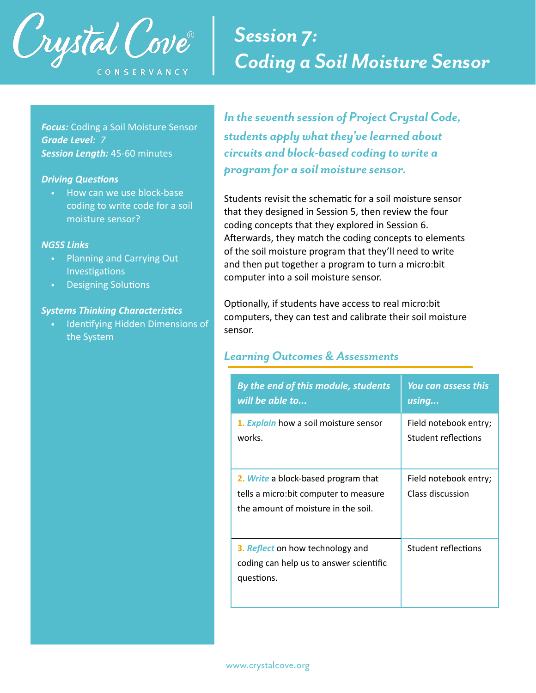

# *Session 7: Coding a Soil Moisture Sensor*

*Focus:* Coding a Soil Moisture Sensor *Grade Level: 7 Session Length:* 45-60 minutes

#### **Driving Questions**

• How can we use block-base coding to write code for a soil moisture sensor?

#### *NGSS Links*

- Planning and Carrying Out Investigations
- Designing Solutions

#### **Systems Thinking Characteristics**

• Identifying Hidden Dimensions of the System

*In the seventh session of Project Crystal Code, students apply what they've learned about circuits and block-based coding to write a program for a soil moisture sensor.* 

Students revisit the schematic for a soil moisture sensor that they designed in Session 5, then review the four coding concepts that they explored in Session 6. Afterwards, they match the coding concepts to elements of the soil moisture program that they'll need to write and then put together a program to turn a micro:bit computer into a soil moisture sensor.

Optionally, if students have access to real micro:bit computers, they can test and calibrate their soil moisture sensor.

# *Learning Outcomes & Assessments*

| By the end of this module, students                                                                                  | <b>You can assess this</b>                |
|----------------------------------------------------------------------------------------------------------------------|-------------------------------------------|
| will be able to                                                                                                      | using                                     |
| 1. Explain how a soil moisture sensor                                                                                | Field notebook entry;                     |
| works.                                                                                                               | Student reflections                       |
| 2. Write a block-based program that<br>tells a micro: bit computer to measure<br>the amount of moisture in the soil. | Field notebook entry;<br>Class discussion |
| 3. Reflect on how technology and<br>coding can help us to answer scientific<br>questions.                            | Student reflections                       |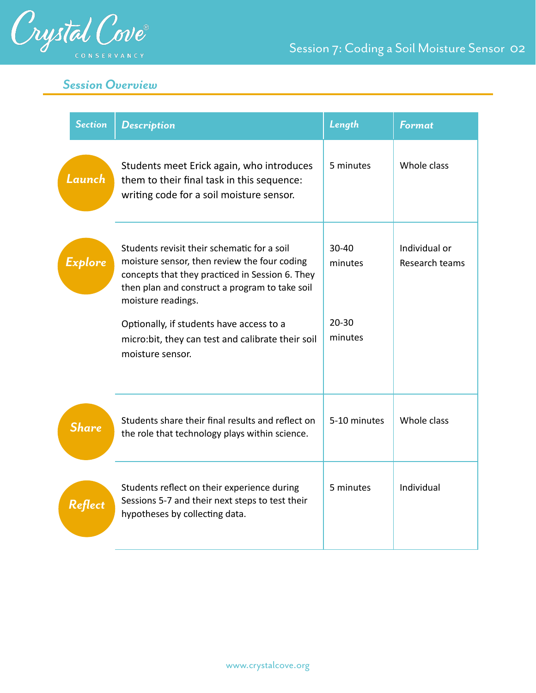

Session 7: Coding a Soil Moisture Sensor 02

# *Session Overview*

| <b>Section</b> | <b>Description</b>                                                                                                                                                                                                                                                 | Length                            | <b>Format</b>                   |
|----------------|--------------------------------------------------------------------------------------------------------------------------------------------------------------------------------------------------------------------------------------------------------------------|-----------------------------------|---------------------------------|
| Launch         | Students meet Erick again, who introduces<br>them to their final task in this sequence:<br>writing code for a soil moisture sensor.                                                                                                                                | 5 minutes                         | Whole class                     |
| Explore        | Students revisit their schematic for a soil<br>moisture sensor, then review the four coding<br>concepts that they practiced in Session 6. They<br>then plan and construct a program to take soil<br>moisture readings.<br>Optionally, if students have access to a | $30 - 40$<br>minutes<br>$20 - 30$ | Individual or<br>Research teams |
|                | micro:bit, they can test and calibrate their soil<br>moisture sensor.                                                                                                                                                                                              | minutes                           |                                 |
| <b>Share</b>   | Students share their final results and reflect on<br>the role that technology plays within science.                                                                                                                                                                | 5-10 minutes                      | Whole class                     |
| Reflect        | Students reflect on their experience during<br>Sessions 5-7 and their next steps to test their<br>hypotheses by collecting data.                                                                                                                                   | 5 minutes                         | Individual                      |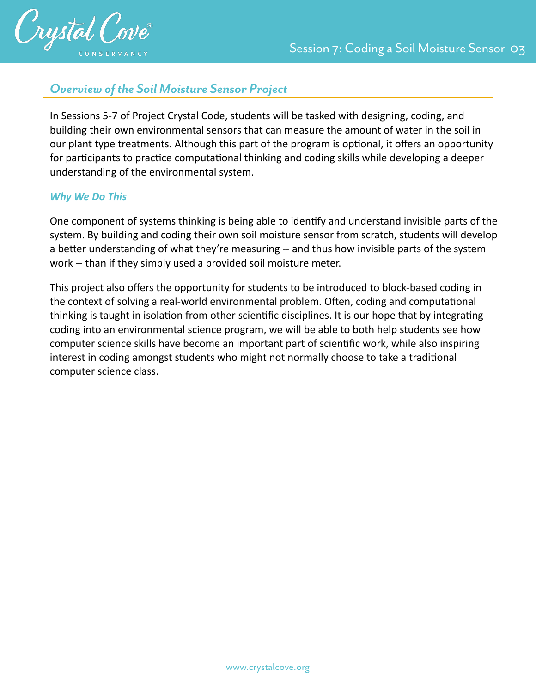

# *Overview of the Soil Moisture Sensor Project*

In Sessions 5-7 of Project Crystal Code, students will be tasked with designing, coding, and building their own environmental sensors that can measure the amount of water in the soil in our plant type treatments. Although this part of the program is optional, it offers an opportunity for participants to practice computational thinking and coding skills while developing a deeper understanding of the environmental system.

# *Why We Do This*

One component of systems thinking is being able to identify and understand invisible parts of the system. By building and coding their own soil moisture sensor from scratch, students will develop a better understanding of what they're measuring -- and thus how invisible parts of the system work -- than if they simply used a provided soil moisture meter.

This project also offers the opportunity for students to be introduced to block-based coding in the context of solving a real-world environmental problem. Often, coding and computational thinking is taught in isolation from other scientific disciplines. It is our hope that by integrating coding into an environmental science program, we will be able to both help students see how computer science skills have become an important part of scientific work, while also inspiring interest in coding amongst students who might not normally choose to take a traditional computer science class.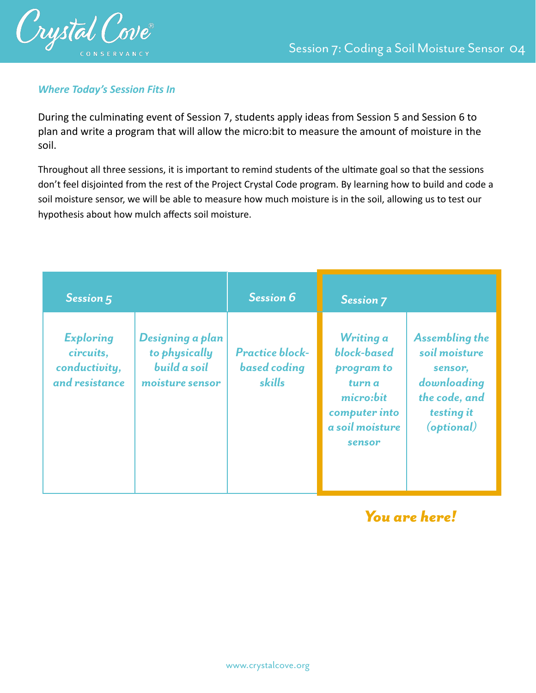

# *Where Today's Session Fits In*

During the culminating event of Session 7, students apply ideas from Session 5 and Session 6 to plan and write a program that will allow the micro:bit to measure the amount of moisture in the soil.

Throughout all three sessions, it is important to remind students of the ultimate goal so that the sessions don't feel disjointed from the rest of the Project Crystal Code program. By learning how to build and code a soil moisture sensor, we will be able to measure how much moisture is in the soil, allowing us to test our hypothesis about how mulch affects soil moisture.

| Session 5                                                        |                                                                      | <b>Session 6</b>                                        | <b>Session 7</b>                                                                                            |                                                                                                               |
|------------------------------------------------------------------|----------------------------------------------------------------------|---------------------------------------------------------|-------------------------------------------------------------------------------------------------------------|---------------------------------------------------------------------------------------------------------------|
| <b>Exploring</b><br>circuits,<br>conductivity,<br>and resistance | Designing a plan<br>to physically<br>build a soil<br>moisture sensor | <b>Practice block-</b><br><b>based</b> coding<br>skills | Writing a<br>block-based<br>program to<br>turn a<br>micro:bit<br>computer into<br>a soil moisture<br>sensor | <b>Assembling the</b><br>soil moisture<br>sensor,<br>downloading<br>the code, and<br>testing it<br>(optional) |

*You are here!*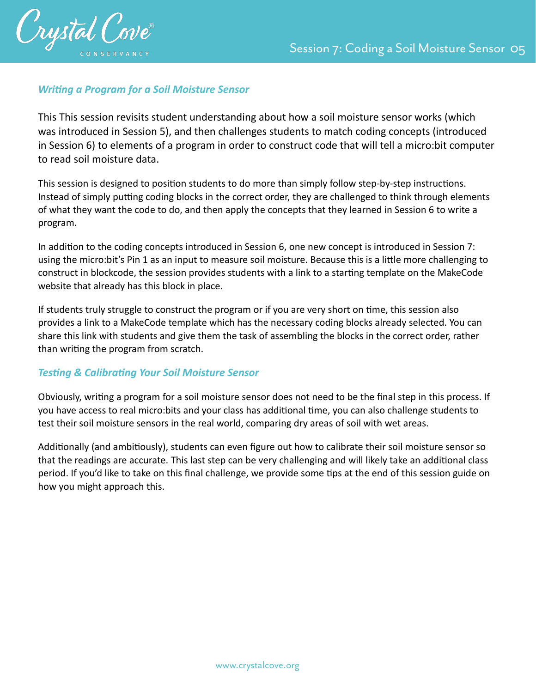

# **Writing a Program for a Soil Moisture Sensor**

This This session revisits student understanding about how a soil moisture sensor works (which was introduced in Session 5), and then challenges students to match coding concepts (introduced in Session 6) to elements of a program in order to construct code that will tell a micro:bit computer to read soil moisture data.

This session is designed to position students to do more than simply follow step-by-step instructions. Instead of simply putting coding blocks in the correct order, they are challenged to think through elements of what they want the code to do, and then apply the concepts that they learned in Session 6 to write a program.

In addition to the coding concepts introduced in Session 6, one new concept is introduced in Session 7: using the micro:bit's Pin 1 as an input to measure soil moisture. Because this is a little more challenging to construct in blockcode, the session provides students with a link to a starting template on the MakeCode website that already has this block in place.

If students truly struggle to construct the program or if you are very short on time, this session also provides a link to a MakeCode template which has the necessary coding blocks already selected. You can share this link with students and give them the task of assembling the blocks in the correct order, rather than writing the program from scratch.

# **Testing & Calibrating Your Soil Moisture Sensor**

Obviously, writing a program for a soil moisture sensor does not need to be the final step in this process. If you have access to real micro:bits and your class has additional time, you can also challenge students to test their soil moisture sensors in the real world, comparing dry areas of soil with wet areas.

Additionally (and ambitiously), students can even figure out how to calibrate their soil moisture sensor so that the readings are accurate. This last step can be very challenging and will likely take an additional class period. If you'd like to take on this final challenge, we provide some tips at the end of this session guide on how you might approach this.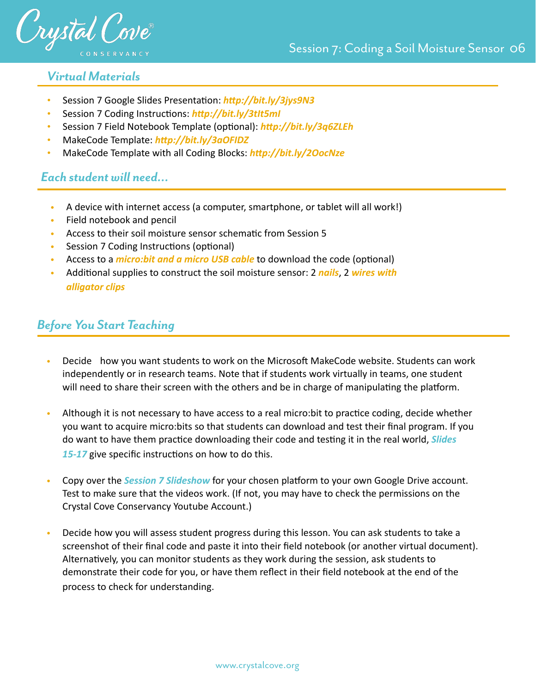

# *Virtual Materials*

- Session 7 Google Slides Presentation: *http://bit.ly/3jys9N3*
- Session 7 Coding Instructions: http://bit.ly/3tIt5ml
- Session 7 Field Notebook Template (optional): *http://bit.ly/3q6ZLEh*
- MakeCode Template: http://bit.ly/3aOFIDZ
- MakeCode Template with all Coding Blocks: http://bit.ly/2OocNze

# *Each student will need…*

- A device with internet access (a computer, smartphone, or tablet will all work!)
- Field notebook and pencil
- Access to their soil moisture sensor schematic from Session 5
- Session 7 Coding Instructions (optional)
- Access to a *micro:bit and a micro USB cable* to download the code (optional)
- Additional supplies to construct the soil moisture sensor: 2 *[nails](https://www.homedepot.com/p/Everbilt-3-in-Galvanized-Common-Nails-25-Pack-803474/205949039)*, 2 wires with *[alligator clips](https://www.amazon.com/gp/product/B06XX25HFX/ref=ox_sc_act_title_1?smid=A26I79OO3YFR4X&psc=1)*

# *Before You Start Teaching*

- Decide how you want students to work on the Microsoft MakeCode website. Students can work independently or in research teams. Note that if students work virtually in teams, one student will need to share their screen with the others and be in charge of manipulating the platform.
- Although it is not necessary to have access to a real micro:bit to practice coding, decide whether you want to acquire micro:bits so that students can download and test their final program. If you do want to have them practice downloading their code and testing it in the real world, *Slides* 15-17 give specific instructions on how to do this.
- Copy over the *Session 7 Slideshow* for your chosen platform to your own Google Drive account. Test to make sure that the videos work. (If not, you may have to check the permissions on the Crystal Cove Conservancy Youtube Account.)
- Decide how you will assess student progress during this lesson. You can ask students to take a screenshot of their final code and paste it into their field notebook (or another virtual document). Alternatively, you can monitor students as they work during the session, ask students to demonstrate their code for you, or have them reflect in their field notebook at the end of the process to check for understanding.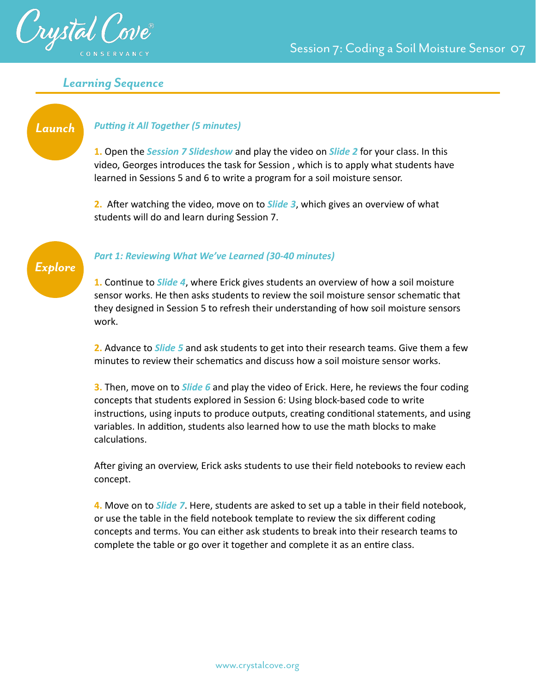

# *Learning Sequence*

# **Putting it All Together (5 minutes)**

**1.** Open the *Session 7 Slideshow* and play the video on *Slide 2* for your class. In this video, Georges introduces the task for Session , which is to apply what students have learned in Sessions 5 and 6 to write a program for a soil moisture sensor.

**2.** After watching the video, move on to *Slide 3*, which gives an overview of what students will do and learn during Session 7.



*Launch*

#### *Part 1: Reviewing What We've Learned (30-40 minutes)*

**1.** Continue to *Slide 4*, where Erick gives students an overview of how a soil moisture sensor works. He then asks students to review the soil moisture sensor schematic that they designed in Session 5 to refresh their understanding of how soil moisture sensors work.

**2.** Advance to *Slide 5* and ask students to get into their research teams. Give them a few minutes to review their schematics and discuss how a soil moisture sensor works.

**3.** Then, move on to *Slide 6* and play the video of Erick. Here, he reviews the four coding concepts that students explored in Session 6: Using block-based code to write instructions, using inputs to produce outputs, creating conditional statements, and using variables. In addition, students also learned how to use the math blocks to make calculations.

After giving an overview, Erick asks students to use their field notebooks to review each concept.

**4.** Move on to *Slide 7*. Here, students are asked to set up a table in their field notebook, or use the table in the field notebook template to review the six different coding concepts and terms. You can either ask students to break into their research teams to complete the table or go over it together and complete it as an entire class.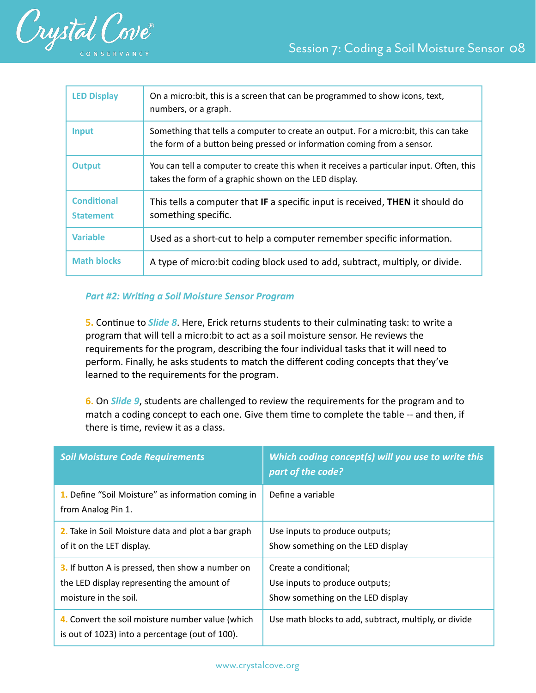

| <b>LED Display</b>                     | On a micro: bit, this is a screen that can be programmed to show icons, text,<br>numbers, or a graph.                                                           |
|----------------------------------------|-----------------------------------------------------------------------------------------------------------------------------------------------------------------|
| <b>Input</b>                           | Something that tells a computer to create an output. For a micro: bit, this can take<br>the form of a button being pressed or information coming from a sensor. |
| <b>Output</b>                          | You can tell a computer to create this when it receives a particular input. Often, this<br>takes the form of a graphic shown on the LED display.                |
| <b>Conditional</b><br><b>Statement</b> | This tells a computer that IF a specific input is received, THEN it should do<br>something specific.                                                            |
| <b>Variable</b>                        | Used as a short-cut to help a computer remember specific information.                                                                                           |
| <b>Math blocks</b>                     | A type of micro: bit coding block used to add, subtract, multiply, or divide.                                                                                   |

#### **Part #2: Writing a Soil Moisture Sensor Program**

**5.** Continue to *Slide 8*. Here, Erick returns students to their culminating task: to write a program that will tell a micro:bit to act as a soil moisture sensor. He reviews the requirements for the program, describing the four individual tasks that it will need to perform. Finally, he asks students to match the different coding concepts that they've learned to the requirements for the program.

**6.** On *Slide 9*, students are challenged to review the requirements for the program and to match a coding concept to each one. Give them time to complete the table -- and then, if there is time, review it as a class.

| <b>Soil Moisture Code Requirements</b>                                                                                  | Which coding concept(s) will you use to write this<br>part of the code?                      |
|-------------------------------------------------------------------------------------------------------------------------|----------------------------------------------------------------------------------------------|
| 1. Define "Soil Moisture" as information coming in<br>from Analog Pin 1.                                                | Define a variable                                                                            |
| 2. Take in Soil Moisture data and plot a bar graph<br>of it on the LET display.                                         | Use inputs to produce outputs;<br>Show something on the LED display                          |
| 3. If button A is pressed, then show a number on<br>the LED display representing the amount of<br>moisture in the soil. | Create a conditional;<br>Use inputs to produce outputs;<br>Show something on the LED display |
| 4. Convert the soil moisture number value (which<br>is out of 1023) into a percentage (out of 100).                     | Use math blocks to add, subtract, multiply, or divide                                        |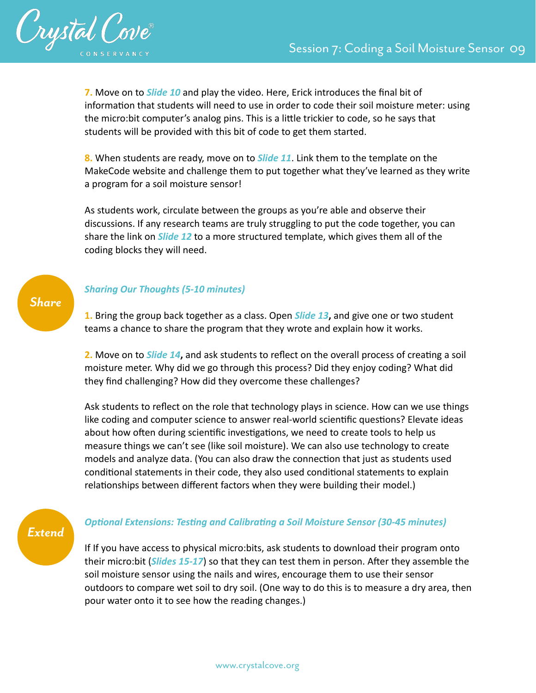

**7.** Move on to *Slide 10* and play the video. Here, Erick introduces the final bit of information that students will need to use in order to code their soil moisture meter: using the micro:bit computer's analog pins. This is a little trickier to code, so he says that students will be provided with this bit of code to get them started.

**8.** When students are ready, move on to *Slide 11*. Link them to the template on the MakeCode website and challenge them to put together what they've learned as they write a program for a soil moisture sensor!

As students work, circulate between the groups as you're able and observe their discussions. If any research teams are truly struggling to put the code together, you can share the link on *Slide 12* to a more structured template, which gives them all of the coding blocks they will need.

# *Sharing Our Thoughts (5-10 minutes)*

**1.** Bring the group back together as a class. Open *Slide 13***,** and give one or two student teams a chance to share the program that they wrote and explain how it works.

**2.** Move on to **Slide 14**, and ask students to reflect on the overall process of creating a soil moisture meter. Why did we go through this process? Did they enjoy coding? What did they find challenging? How did they overcome these challenges?

Ask students to reflect on the role that technology plays in science. How can we use things like coding and computer science to answer real-world scientific questions? Elevate ideas about how often during scientific investigations, we need to create tools to help us measure things we can't see (like soil moisture). We can also use technology to create models and analyze data. (You can also draw the connection that just as students used conditional statements in their code, they also used conditional statements to explain relationships between different factors when they were building their model.)

# *Extend*

*Share*

#### **Optional Extensions: Testing and Calibrating a Soil Moisture Sensor (30-45 minutes)**

If If you have access to physical micro:bits, ask students to download their program onto their micro:bit (*Slides 15-17*) so that they can test them in person. After they assemble the soil moisture sensor using the nails and wires, encourage them to use their sensor outdoors to compare wet soil to dry soil. (One way to do this is to measure a dry area, then pour water onto it to see how the reading changes.)